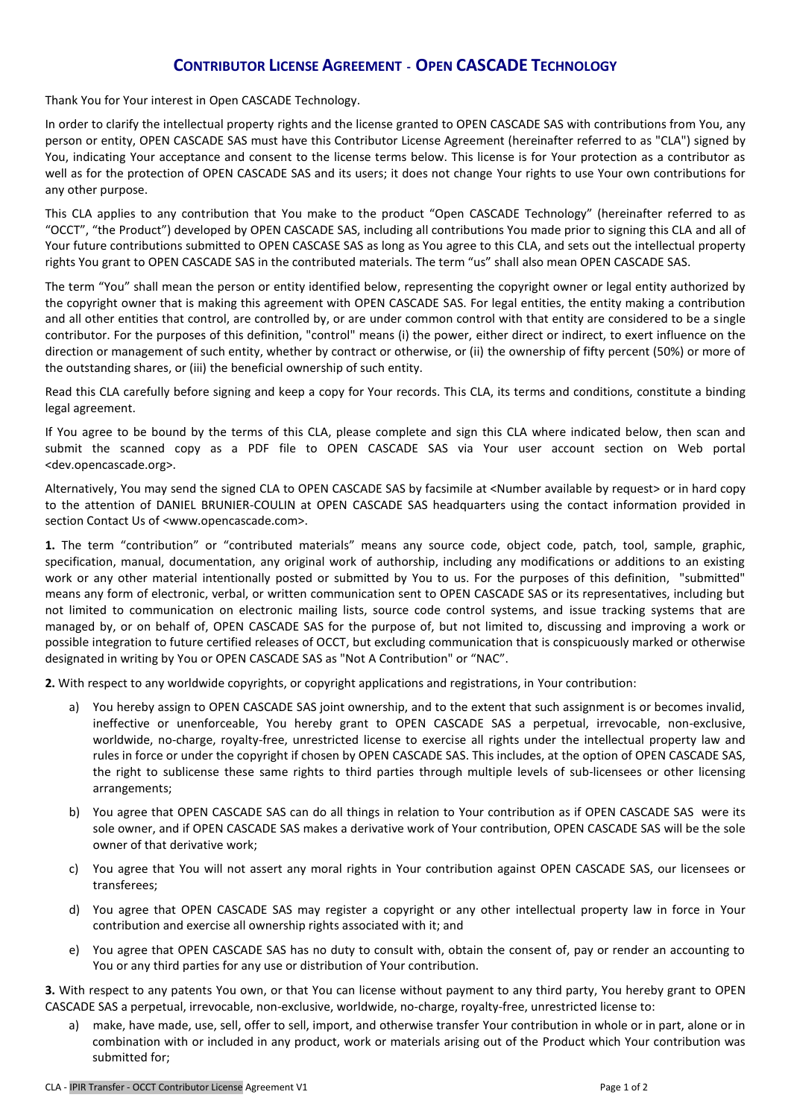## **CONTRIBUTOR LICENSE AGREEMENT - OPEN CASCADE TECHNOLOGY**

Thank You for Your interest in Open CASCADE Technology.

In order to clarify the intellectual property rights and the license granted to OPEN CASCADE SAS with contributions from You, any person or entity, OPEN CASCADE SAS must have this Contributor License Agreement (hereinafter referred to as "CLA") signed by You, indicating Your acceptance and consent to the license terms below. This license is for Your protection as a contributor as well as for the protection of OPEN CASCADE SAS and its users; it does not change Your rights to use Your own contributions for any other purpose.

This CLA applies to any contribution that You make to the product "Open CASCADE Technology" (hereinafter referred to as "OCCT", "the Product") developed by OPEN CASCADE SAS, including all contributions You made prior to signing this CLA and all of Your future contributions submitted to OPEN CASCASE SAS as long as You agree to this CLA, and sets out the intellectual property rights You grant to OPEN CASCADE SAS in the contributed materials. The term "us" shall also mean OPEN CASCADE SAS.

The term "You" shall mean the person or entity identified below, representing the copyright owner or legal entity authorized by the copyright owner that is making this agreement with OPEN CASCADE SAS. For legal entities, the entity making a contribution and all other entities that control, are controlled by, or are under common control with that entity are considered to be a single contributor. For the purposes of this definition, "control" means (i) the power, either direct or indirect, to exert influence on the direction or management of such entity, whether by contract or otherwise, or (ii) the ownership of fifty percent (50%) or more of the outstanding shares, or (iii) the beneficial ownership of such entity.

Read this CLA carefully before signing and keep a copy for Your records. This CLA, its terms and conditions, constitute a binding legal agreement.

If You agree to be bound by the terms of this CLA, please complete and sign this CLA where indicated below, then scan and submit the scanned copy as a PDF file to OPEN CASCADE SAS via Your user account section on Web portal <dev.opencascade.org>.

Alternatively, You may send the signed CLA to OPEN CASCADE SAS by facsimile at <Number available by request> or in hard copy to the attention of DANIEL BRUNIER-COULIN at OPEN CASCADE SAS headquarters using the contact information provided in section Contact Us of <www.opencascade.com>.

**1.** The term "contribution" or "contributed materials" means any source code, object code, patch, tool, sample, graphic, specification, manual, documentation, any original work of authorship, including any modifications or additions to an existing work or any other material intentionally posted or submitted by You to us. For the purposes of this definition, "submitted" means any form of electronic, verbal, or written communication sent to OPEN CASCADE SAS or its representatives, including but not limited to communication on electronic mailing lists, source code control systems, and issue tracking systems that are managed by, or on behalf of, OPEN CASCADE SAS for the purpose of, but not limited to, discussing and improving a work or possible integration to future certified releases of OCCT, but excluding communication that is conspicuously marked or otherwise designated in writing by You or OPEN CASCADE SAS as "Not A Contribution" or "NAC".

**2.** With respect to any worldwide copyrights, or copyright applications and registrations, in Your contribution:

- a) You hereby assign to OPEN CASCADE SAS joint ownership, and to the extent that such assignment is or becomes invalid, ineffective or unenforceable, You hereby grant to OPEN CASCADE SAS a perpetual, irrevocable, non-exclusive, worldwide, no-charge, royalty-free, unrestricted license to exercise all rights under the intellectual property law and rules in force or under the copyright if chosen by OPEN CASCADE SAS. This includes, at the option of OPEN CASCADE SAS, the right to sublicense these same rights to third parties through multiple levels of sub-licensees or other licensing arrangements;
- b) You agree that OPEN CASCADE SAS can do all things in relation to Your contribution as if OPEN CASCADE SAS were its sole owner, and if OPEN CASCADE SAS makes a derivative work of Your contribution, OPEN CASCADE SAS will be the sole owner of that derivative work;
- c) You agree that You will not assert any moral rights in Your contribution against OPEN CASCADE SAS, our licensees or transferees;
- d) You agree that OPEN CASCADE SAS may register a copyright or any other intellectual property law in force in Your contribution and exercise all ownership rights associated with it; and
- e) You agree that OPEN CASCADE SAS has no duty to consult with, obtain the consent of, pay or render an accounting to You or any third parties for any use or distribution of Your contribution.

**3.** With respect to any patents You own, or that You can license without payment to any third party, You hereby grant to OPEN CASCADE SAS a perpetual, irrevocable, non-exclusive, worldwide, no-charge, royalty-free, unrestricted license to:

a) make, have made, use, sell, offer to sell, import, and otherwise transfer Your contribution in whole or in part, alone or in combination with or included in any product, work or materials arising out of the Product which Your contribution was submitted for;